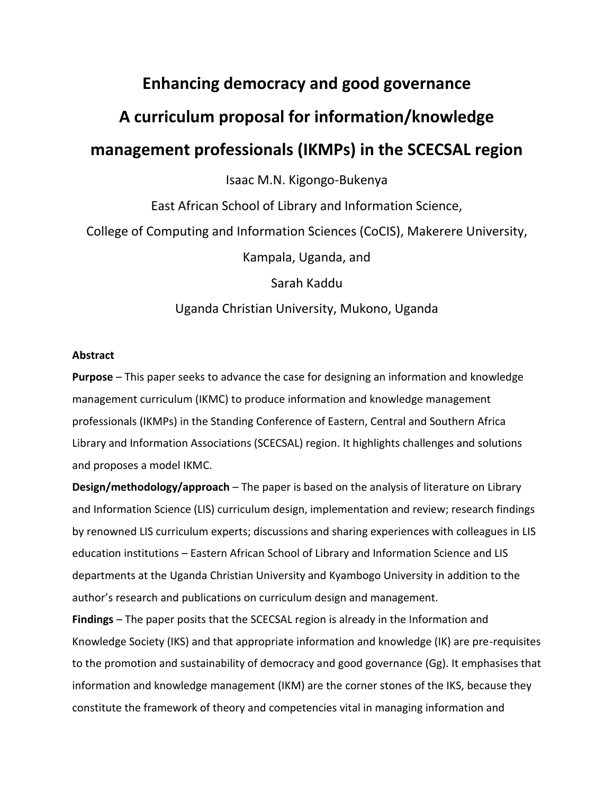## **Enhancing democracy and good governance**

# **A curriculum proposal for information/knowledge**

## **management professionals (IKMPs) in the SCECSAL region**

Isaac M.N. Kigongo-Bukenya

East African School of Library and Information Science, College of Computing and Information Sciences (CoCIS), Makerere University, Kampala, Uganda, and Sarah Kaddu

Uganda Christian University, Mukono, Uganda

#### **Abstract**

**Purpose** – This paper seeks to advance the case for designing an information and knowledge management curriculum (IKMC) to produce information and knowledge management professionals (IKMPs) in the Standing Conference of Eastern, Central and Southern Africa Library and Information Associations (SCECSAL) region. It highlights challenges and solutions and proposes a model IKMC.

**Design/methodology/approach** – The paper is based on the analysis of literature on Library and Information Science (LIS) curriculum design, implementation and review; research findings by renowned LIS curriculum experts; discussions and sharing experiences with colleagues in LIS education institutions – Eastern African School of Library and Information Science and LIS departments at the Uganda Christian University and Kyambogo University in addition to the author's research and publications on curriculum design and management.

**Findings** – The paper posits that the SCECSAL region is already in the Information and Knowledge Society (IKS) and that appropriate information and knowledge (IK) are pre-requisites to the promotion and sustainability of democracy and good governance (Gg). It emphasises that information and knowledge management (IKM) are the corner stones of the IKS, because they constitute the framework of theory and competencies vital in managing information and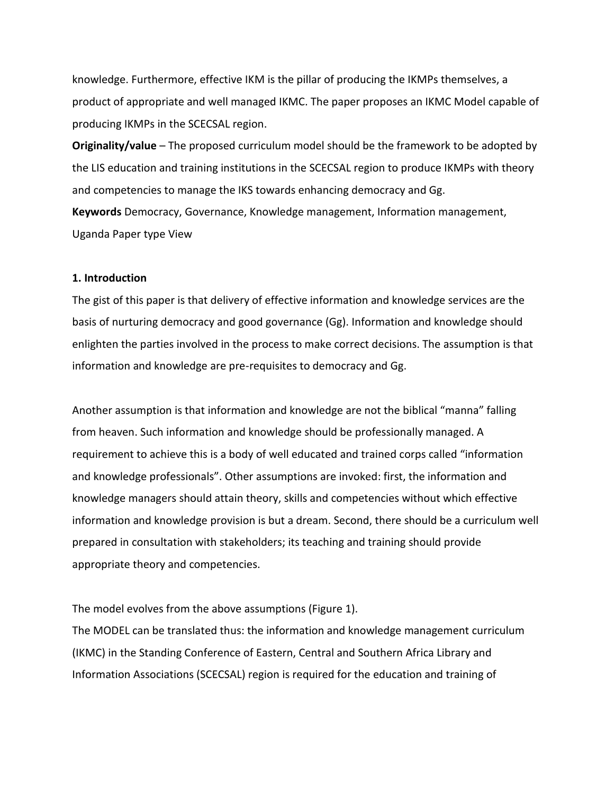knowledge. Furthermore, effective IKM is the pillar of producing the IKMPs themselves, a product of appropriate and well managed IKMC. The paper proposes an IKMC Model capable of producing IKMPs in the SCECSAL region.

**Originality/value** – The proposed curriculum model should be the framework to be adopted by the LIS education and training institutions in the SCECSAL region to produce IKMPs with theory and competencies to manage the IKS towards enhancing democracy and Gg. **Keywords** Democracy, Governance, Knowledge management, Information management, Uganda Paper type View

#### **1. Introduction**

The gist of this paper is that delivery of effective information and knowledge services are the basis of nurturing democracy and good governance (Gg). Information and knowledge should enlighten the parties involved in the process to make correct decisions. The assumption is that information and knowledge are pre-requisites to democracy and Gg.

Another assumption is that information and knowledge are not the biblical "manna" falling from heaven. Such information and knowledge should be professionally managed. A requirement to achieve this is a body of well educated and trained corps called "information and knowledge professionals". Other assumptions are invoked: first, the information and knowledge managers should attain theory, skills and competencies without which effective information and knowledge provision is but a dream. Second, there should be a curriculum well prepared in consultation with stakeholders; its teaching and training should provide appropriate theory and competencies.

The model evolves from the above assumptions (Figure 1).

The MODEL can be translated thus: the information and knowledge management curriculum (IKMC) in the Standing Conference of Eastern, Central and Southern Africa Library and Information Associations (SCECSAL) region is required for the education and training of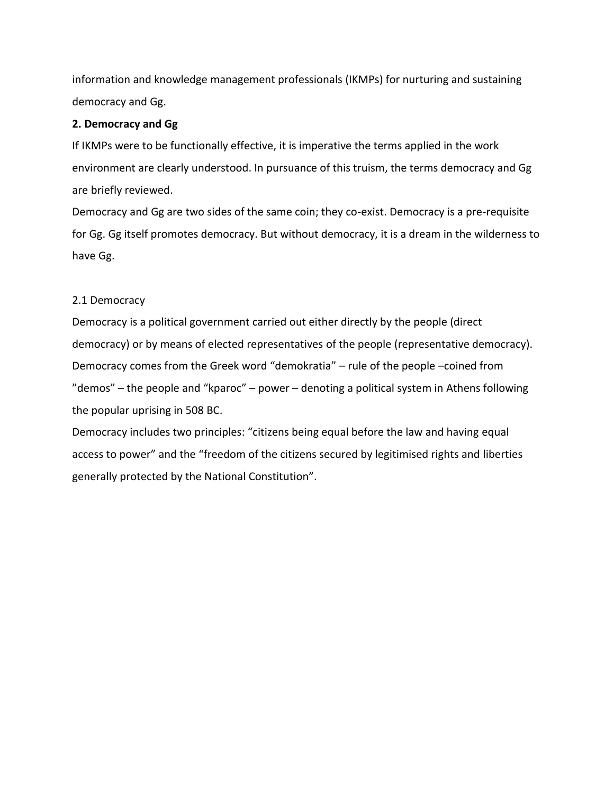information and knowledge management professionals (IKMPs) for nurturing and sustaining democracy and Gg.

## **2. Democracy and Gg**

If IKMPs were to be functionally effective, it is imperative the terms applied in the work environment are clearly understood. In pursuance of this truism, the terms democracy and Gg are briefly reviewed.

Democracy and Gg are two sides of the same coin; they co-exist. Democracy is a pre-requisite for Gg. Gg itself promotes democracy. But without democracy, it is a dream in the wilderness to have Gg.

## 2.1 Democracy

Democracy is a political government carried out either directly by the people (direct democracy) or by means of elected representatives of the people (representative democracy). Democracy comes from the Greek word "demokratia" – rule of the people –coined from "demos" – the people and "kparoc" – power – denoting a political system in Athens following the popular uprising in 508 BC.

Democracy includes two principles: "citizens being equal before the law and having equal access to power" and the "freedom of the citizens secured by legitimised rights and liberties generally protected by the National Constitution".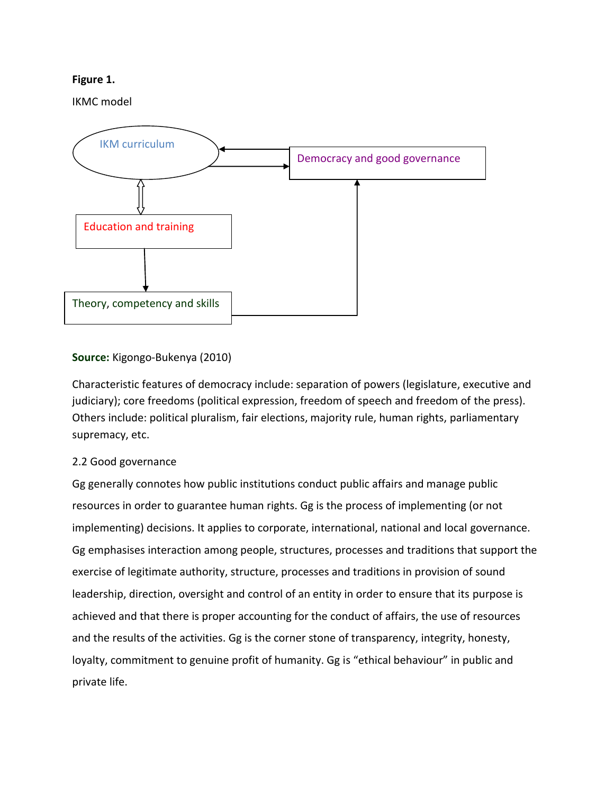## **Figure 1.**

IKMC model



## **Source:** Kigongo-Bukenya (2010)

Characteristic features of democracy include: separation of powers (legislature, executive and judiciary); core freedoms (political expression, freedom of speech and freedom of the press). Others include: political pluralism, fair elections, majority rule, human rights, parliamentary supremacy, etc.

## 2.2 Good governance

Gg generally connotes how public institutions conduct public affairs and manage public resources in order to guarantee human rights. Gg is the process of implementing (or not implementing) decisions. It applies to corporate, international, national and local governance. Gg emphasises interaction among people, structures, processes and traditions that support the exercise of legitimate authority, structure, processes and traditions in provision of sound leadership, direction, oversight and control of an entity in order to ensure that its purpose is achieved and that there is proper accounting for the conduct of affairs, the use of resources and the results of the activities. Gg is the corner stone of transparency, integrity, honesty, loyalty, commitment to genuine profit of humanity. Gg is "ethical behaviour" in public and private life.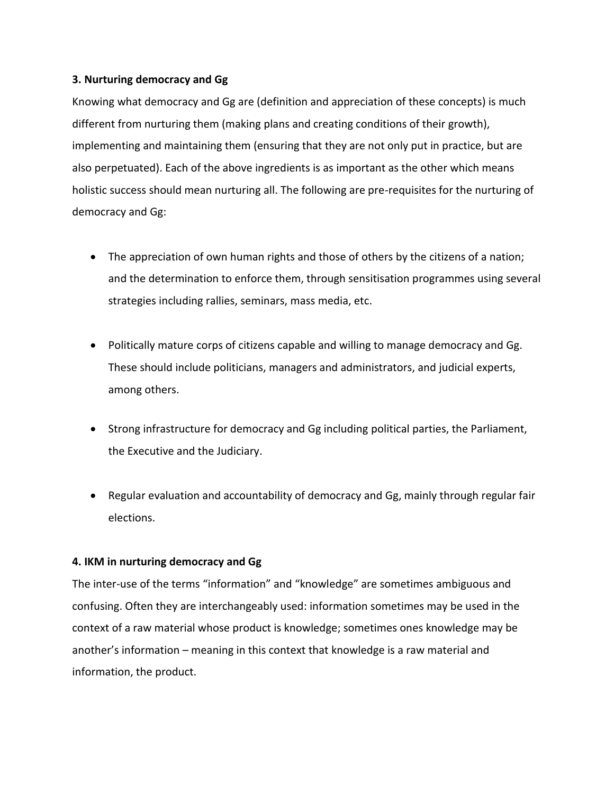#### **3. Nurturing democracy and Gg**

Knowing what democracy and Gg are (definition and appreciation of these concepts) is much different from nurturing them (making plans and creating conditions of their growth), implementing and maintaining them (ensuring that they are not only put in practice, but are also perpetuated). Each of the above ingredients is as important as the other which means holistic success should mean nurturing all. The following are pre-requisites for the nurturing of democracy and Gg:

- The appreciation of own human rights and those of others by the citizens of a nation; and the determination to enforce them, through sensitisation programmes using several strategies including rallies, seminars, mass media, etc.
- Politically mature corps of citizens capable and willing to manage democracy and Gg. These should include politicians, managers and administrators, and judicial experts, among others.
- Strong infrastructure for democracy and Gg including political parties, the Parliament, the Executive and the Judiciary.
- Regular evaluation and accountability of democracy and Gg, mainly through regular fair elections.

## **4. IKM in nurturing democracy and Gg**

The inter-use of the terms "information" and "knowledge" are sometimes ambiguous and confusing. Often they are interchangeably used: information sometimes may be used in the context of a raw material whose product is knowledge; sometimes ones knowledge may be another's information – meaning in this context that knowledge is a raw material and information, the product.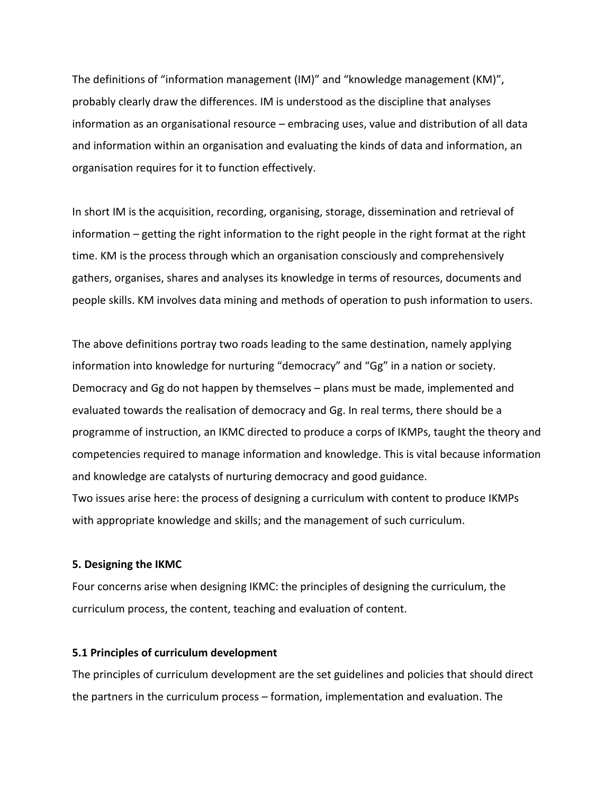The definitions of "information management (IM)" and "knowledge management (KM)", probably clearly draw the differences. IM is understood as the discipline that analyses information as an organisational resource – embracing uses, value and distribution of all data and information within an organisation and evaluating the kinds of data and information, an organisation requires for it to function effectively.

In short IM is the acquisition, recording, organising, storage, dissemination and retrieval of information – getting the right information to the right people in the right format at the right time. KM is the process through which an organisation consciously and comprehensively gathers, organises, shares and analyses its knowledge in terms of resources, documents and people skills. KM involves data mining and methods of operation to push information to users.

The above definitions portray two roads leading to the same destination, namely applying information into knowledge for nurturing "democracy" and "Gg" in a nation or society. Democracy and Gg do not happen by themselves – plans must be made, implemented and evaluated towards the realisation of democracy and Gg. In real terms, there should be a programme of instruction, an IKMC directed to produce a corps of IKMPs, taught the theory and competencies required to manage information and knowledge. This is vital because information and knowledge are catalysts of nurturing democracy and good guidance. Two issues arise here: the process of designing a curriculum with content to produce IKMPs

with appropriate knowledge and skills; and the management of such curriculum.

## **5. Designing the IKMC**

Four concerns arise when designing IKMC: the principles of designing the curriculum, the curriculum process, the content, teaching and evaluation of content.

## **5.1 Principles of curriculum development**

The principles of curriculum development are the set guidelines and policies that should direct the partners in the curriculum process – formation, implementation and evaluation. The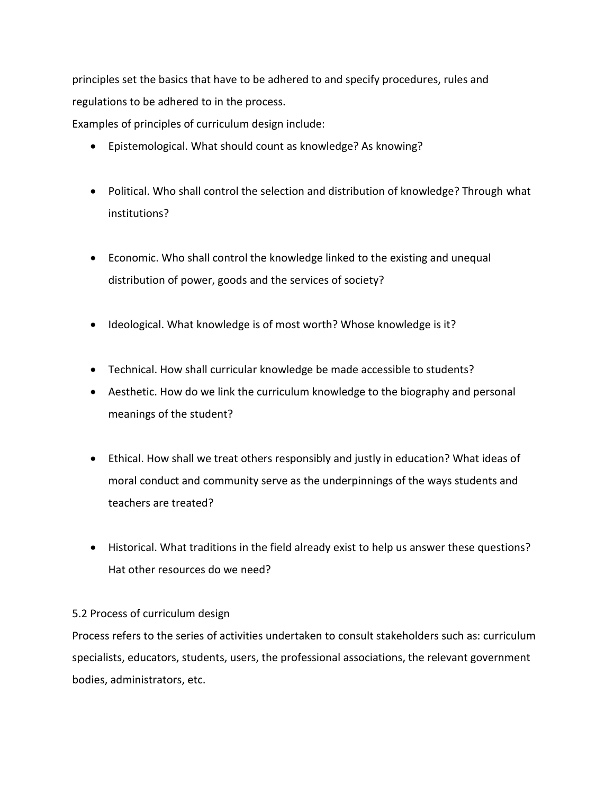principles set the basics that have to be adhered to and specify procedures, rules and regulations to be adhered to in the process.

Examples of principles of curriculum design include:

- Epistemological. What should count as knowledge? As knowing?
- Political. Who shall control the selection and distribution of knowledge? Through what institutions?
- Economic. Who shall control the knowledge linked to the existing and unequal distribution of power, goods and the services of society?
- Ideological. What knowledge is of most worth? Whose knowledge is it?
- Technical. How shall curricular knowledge be made accessible to students?
- Aesthetic. How do we link the curriculum knowledge to the biography and personal meanings of the student?
- Ethical. How shall we treat others responsibly and justly in education? What ideas of moral conduct and community serve as the underpinnings of the ways students and teachers are treated?
- Historical. What traditions in the field already exist to help us answer these questions? Hat other resources do we need?

## 5.2 Process of curriculum design

Process refers to the series of activities undertaken to consult stakeholders such as: curriculum specialists, educators, students, users, the professional associations, the relevant government bodies, administrators, etc.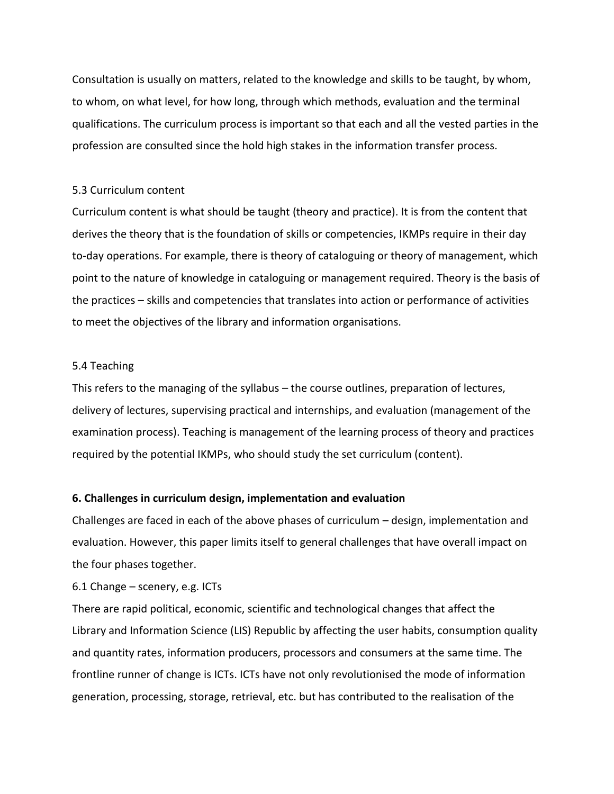Consultation is usually on matters, related to the knowledge and skills to be taught, by whom, to whom, on what level, for how long, through which methods, evaluation and the terminal qualifications. The curriculum process is important so that each and all the vested parties in the profession are consulted since the hold high stakes in the information transfer process.

#### 5.3 Curriculum content

Curriculum content is what should be taught (theory and practice). It is from the content that derives the theory that is the foundation of skills or competencies, IKMPs require in their day to-day operations. For example, there is theory of cataloguing or theory of management, which point to the nature of knowledge in cataloguing or management required. Theory is the basis of the practices – skills and competencies that translates into action or performance of activities to meet the objectives of the library and information organisations.

#### 5.4 Teaching

This refers to the managing of the syllabus – the course outlines, preparation of lectures, delivery of lectures, supervising practical and internships, and evaluation (management of the examination process). Teaching is management of the learning process of theory and practices required by the potential IKMPs, who should study the set curriculum (content).

## **6. Challenges in curriculum design, implementation and evaluation**

Challenges are faced in each of the above phases of curriculum – design, implementation and evaluation. However, this paper limits itself to general challenges that have overall impact on the four phases together.

## 6.1 Change – scenery, e.g. ICTs

There are rapid political, economic, scientific and technological changes that affect the Library and Information Science (LIS) Republic by affecting the user habits, consumption quality and quantity rates, information producers, processors and consumers at the same time. The frontline runner of change is ICTs. ICTs have not only revolutionised the mode of information generation, processing, storage, retrieval, etc. but has contributed to the realisation of the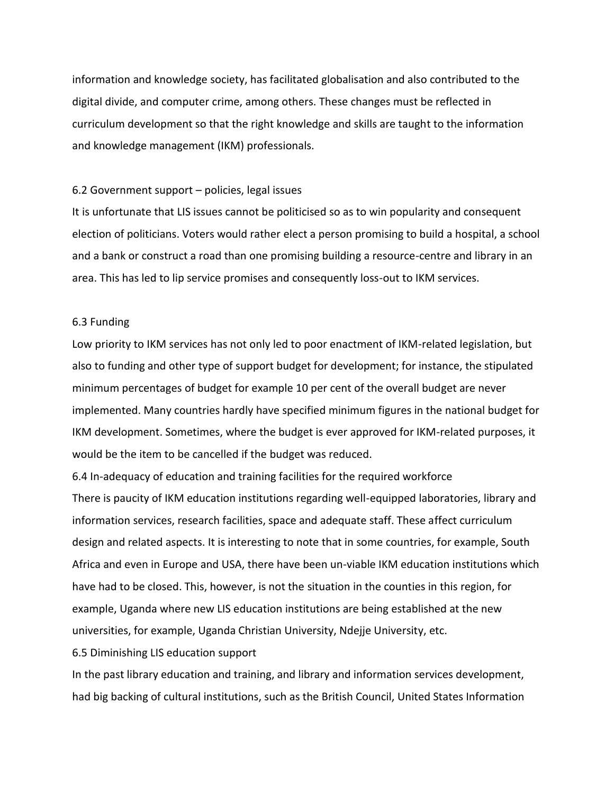information and knowledge society, has facilitated globalisation and also contributed to the digital divide, and computer crime, among others. These changes must be reflected in curriculum development so that the right knowledge and skills are taught to the information and knowledge management (IKM) professionals.

#### 6.2 Government support – policies, legal issues

It is unfortunate that LIS issues cannot be politicised so as to win popularity and consequent election of politicians. Voters would rather elect a person promising to build a hospital, a school and a bank or construct a road than one promising building a resource-centre and library in an area. This has led to lip service promises and consequently loss-out to IKM services.

#### 6.3 Funding

Low priority to IKM services has not only led to poor enactment of IKM-related legislation, but also to funding and other type of support budget for development; for instance, the stipulated minimum percentages of budget for example 10 per cent of the overall budget are never implemented. Many countries hardly have specified minimum figures in the national budget for IKM development. Sometimes, where the budget is ever approved for IKM-related purposes, it would be the item to be cancelled if the budget was reduced.

6.4 In-adequacy of education and training facilities for the required workforce There is paucity of IKM education institutions regarding well-equipped laboratories, library and information services, research facilities, space and adequate staff. These affect curriculum design and related aspects. It is interesting to note that in some countries, for example, South Africa and even in Europe and USA, there have been un-viable IKM education institutions which have had to be closed. This, however, is not the situation in the counties in this region, for example, Uganda where new LIS education institutions are being established at the new universities, for example, Uganda Christian University, Ndejje University, etc.

#### 6.5 Diminishing LIS education support

In the past library education and training, and library and information services development, had big backing of cultural institutions, such as the British Council, United States Information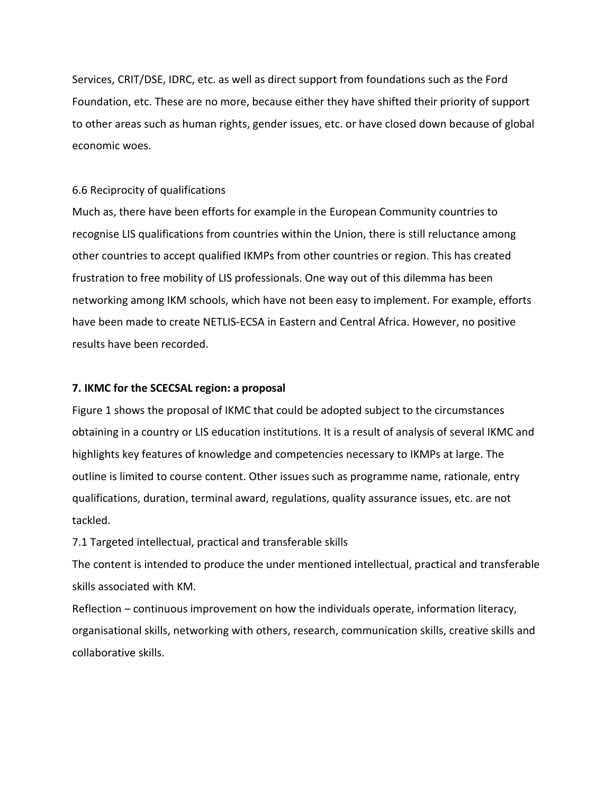Services, CRIT/DSE, IDRC, etc. as well as direct support from foundations such as the Ford Foundation, etc. These are no more, because either they have shifted their priority of support to other areas such as human rights, gender issues, etc. or have closed down because of global economic woes.

#### 6.6 Reciprocity of qualifications

Much as, there have been efforts for example in the European Community countries to recognise LIS qualifications from countries within the Union, there is still reluctance among other countries to accept qualified IKMPs from other countries or region. This has created frustration to free mobility of LIS professionals. One way out of this dilemma has been networking among IKM schools, which have not been easy to implement. For example, efforts have been made to create NETLIS-ECSA in Eastern and Central Africa. However, no positive results have been recorded.

#### **7. IKMC for the SCECSAL region: a proposal**

Figure 1 shows the proposal of IKMC that could be adopted subject to the circumstances obtaining in a country or LIS education institutions. It is a result of analysis of several IKMC and highlights key features of knowledge and competencies necessary to IKMPs at large. The outline is limited to course content. Other issues such as programme name, rationale, entry qualifications, duration, terminal award, regulations, quality assurance issues, etc. are not tackled.

7.1 Targeted intellectual, practical and transferable skills

The content is intended to produce the under mentioned intellectual, practical and transferable skills associated with KM.

Reflection – continuous improvement on how the individuals operate, information literacy, organisational skills, networking with others, research, communication skills, creative skills and collaborative skills.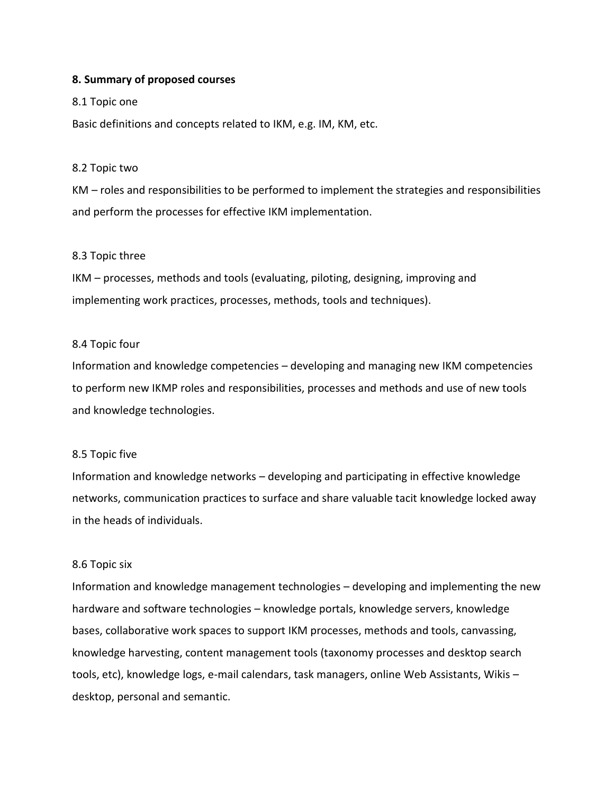#### **8. Summary of proposed courses**

#### 8.1 Topic one

Basic definitions and concepts related to IKM, e.g. IM, KM, etc.

#### 8.2 Topic two

KM – roles and responsibilities to be performed to implement the strategies and responsibilities and perform the processes for effective IKM implementation.

#### 8.3 Topic three

IKM – processes, methods and tools (evaluating, piloting, designing, improving and implementing work practices, processes, methods, tools and techniques).

#### 8.4 Topic four

Information and knowledge competencies – developing and managing new IKM competencies to perform new IKMP roles and responsibilities, processes and methods and use of new tools and knowledge technologies.

#### 8.5 Topic five

Information and knowledge networks – developing and participating in effective knowledge networks, communication practices to surface and share valuable tacit knowledge locked away in the heads of individuals.

#### 8.6 Topic six

Information and knowledge management technologies – developing and implementing the new hardware and software technologies – knowledge portals, knowledge servers, knowledge bases, collaborative work spaces to support IKM processes, methods and tools, canvassing, knowledge harvesting, content management tools (taxonomy processes and desktop search tools, etc), knowledge logs, e-mail calendars, task managers, online Web Assistants, Wikis – desktop, personal and semantic.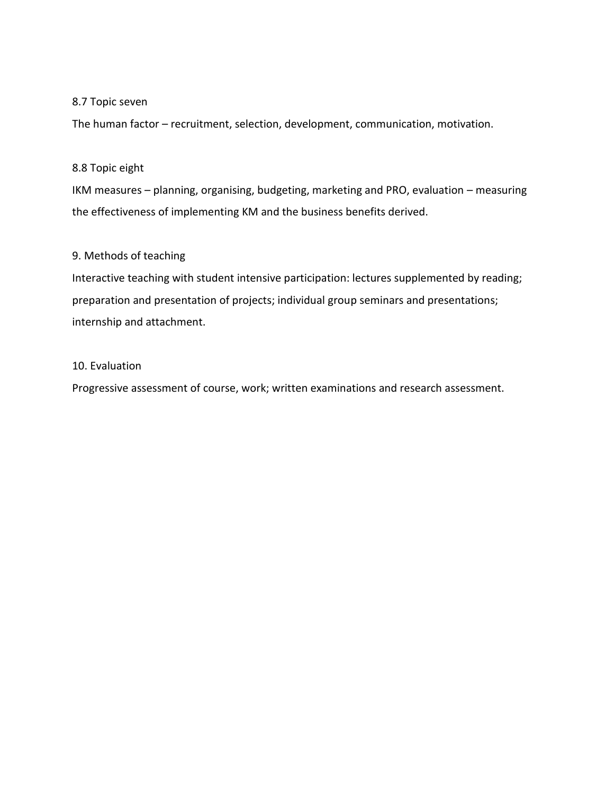## 8.7 Topic seven

The human factor – recruitment, selection, development, communication, motivation.

#### 8.8 Topic eight

IKM measures – planning, organising, budgeting, marketing and PRO, evaluation – measuring the effectiveness of implementing KM and the business benefits derived.

### 9. Methods of teaching

Interactive teaching with student intensive participation: lectures supplemented by reading; preparation and presentation of projects; individual group seminars and presentations; internship and attachment.

## 10. Evaluation

Progressive assessment of course, work; written examinations and research assessment.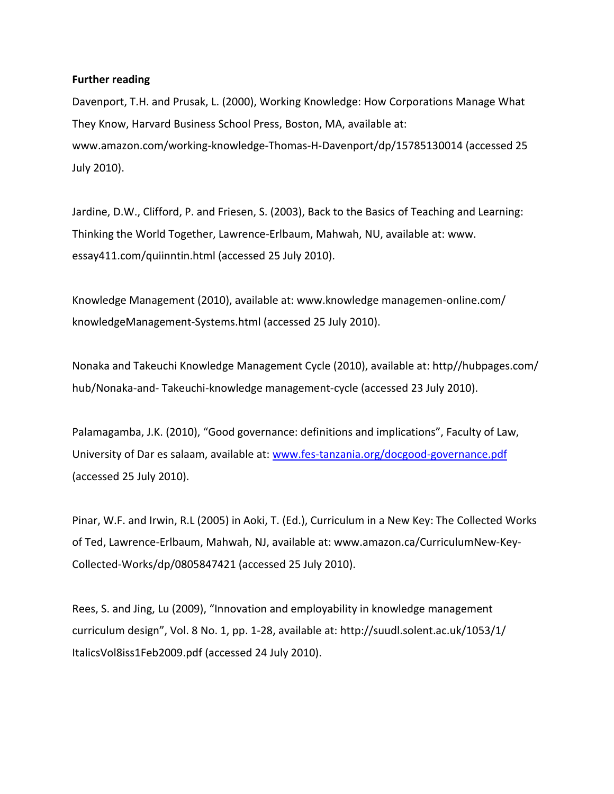#### **Further reading**

Davenport, T.H. and Prusak, L. (2000), Working Knowledge: How Corporations Manage What They Know, Harvard Business School Press, Boston, MA, available at: www.amazon.com/working-knowledge-Thomas-H-Davenport/dp/15785130014 (accessed 25 July 2010).

Jardine, D.W., Clifford, P. and Friesen, S. (2003), Back to the Basics of Teaching and Learning: Thinking the World Together, Lawrence-Erlbaum, Mahwah, NU, available at: www. essay411.com/quiinntin.html (accessed 25 July 2010).

Knowledge Management (2010), available at: www.knowledge managemen-online.com/ knowledgeManagement-Systems.html (accessed 25 July 2010).

Nonaka and Takeuchi Knowledge Management Cycle (2010), available at: http//hubpages.com/ hub/Nonaka-and- Takeuchi-knowledge management-cycle (accessed 23 July 2010).

Palamagamba, J.K. (2010), "Good governance: definitions and implications", Faculty of Law, University of Dar es salaam, available at: [www.fes-tanzania.org/docgood-governance.pdf](http://www.fes-tanzania.org/docgood-governance.pdf) (accessed 25 July 2010).

Pinar, W.F. and Irwin, R.L (2005) in Aoki, T. (Ed.), Curriculum in a New Key: The Collected Works of Ted, Lawrence-Erlbaum, Mahwah, NJ, available at: www.amazon.ca/CurriculumNew-Key-Collected-Works/dp/0805847421 (accessed 25 July 2010).

Rees, S. and Jing, Lu (2009), "Innovation and employability in knowledge management curriculum design", Vol. 8 No. 1, pp. 1-28, available at: http://suudl.solent.ac.uk/1053/1/ ItalicsVol8iss1Feb2009.pdf (accessed 24 July 2010).